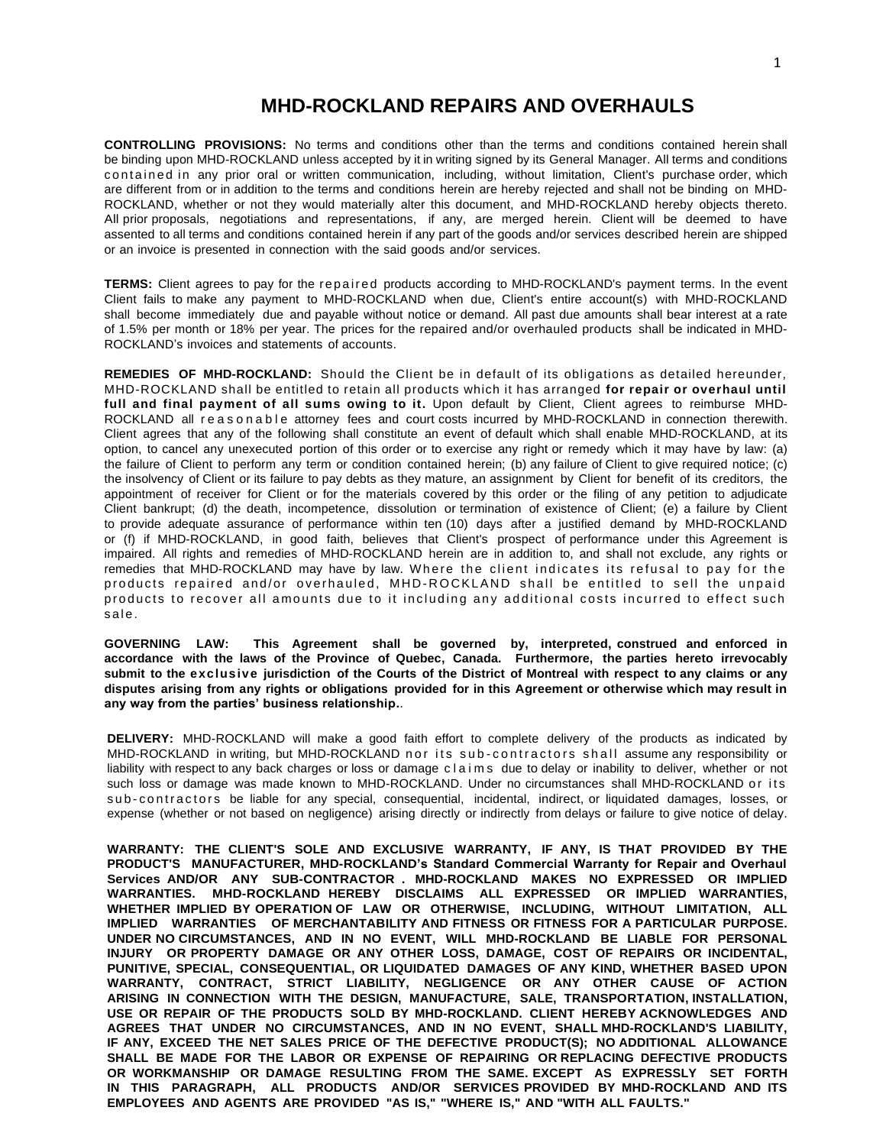## **MHD-ROCKLAND REPAIRS AND OVERHAULS**

**CONTROLLING PROVISIONS:** No terms and conditions other than the terms and conditions contained herein shall be binding upon MHD-ROCKLAND unless accepted by it in writing signed by its General Manager. All terms and conditions contained in any prior oral or written communication, including, without limitation, Client's purchase order, which are different from or in addition to the terms and conditions herein are hereby rejected and shall not be binding on MHD-ROCKLAND, whether or not they would materially alter this document, and MHD-ROCKLAND hereby objects thereto. All prior proposals, negotiations and representations, if any, are merged herein. Client will be deemed to have assented to all terms and conditions contained herein if any part of the goods and/or services described herein are shipped or an invoice is presented in connection with the said goods and/or services.

TERMS: Client agrees to pay for the repaired products according to MHD-ROCKLAND's payment terms. In the event Client fails to make any payment to MHD-ROCKLAND when due, Client's entire account(s) with MHD-ROCKLAND shall become immediately due and payable without notice or demand. All past due amounts shall bear interest at a rate of 1.5% per month or 18% per year. The prices for the repaired and/or overhauled products shall be indicated in MHD-ROCKLAND's invoices and statements of accounts.

**REMEDIES OF MHD-ROCKLAND:** Should the Client be in default of its obligations as detailed hereunder, MHD-ROCKLAND shall be entitled to retain all products which it has arranged **for repair or overhaul until full and final payment of all sums owing to it.** Upon default by Client, Client agrees to reimburse MHD-ROCKLAND all reasonable attorney fees and court costs incurred by MHD-ROCKLAND in connection therewith. Client agrees that any of the following shall constitute an event of default which shall enable MHD-ROCKLAND, at its option, to cancel any unexecuted portion of this order or to exercise any right or remedy which it may have by law: (a) the failure of Client to perform any term or condition contained herein; (b) any failure of Client to give required notice; (c) the insolvency of Client or its failure to pay debts as they mature, an assignment by Client for benefit of its creditors, the appointment of receiver for Client or for the materials covered by this order or the filing of any petition to adjudicate Client bankrupt; (d) the death, incompetence, dissolution or termination of existence of Client; (e) a failure by Client to provide adequate assurance of performance within ten (10) days after a justified demand by MHD-ROCKLAND or (f) if MHD-ROCKLAND, in good faith, believes that Client's prospect of performance under this Agreement is impaired. All rights and remedies of MHD-ROCKLAND herein are in addition to, and shall not exclude, any rights or remedies that MHD-ROCKLAND may have by law. Where the client indicates its refusal to pay for the products repaired and/or overhauled, MHD-ROCKLAND shall be entitled to sell the unpaid products to recover all amounts due to it including any additional costs incurred to effect such sale.

**GOVERNING LAW: This Agreement shall be governed by, interpreted, construed and enforced in accordance with the laws of the Province of Quebec, Canada. Furthermore, the parties hereto irrevocably** submit to the exclusive jurisdiction of the Courts of the District of Montreal with respect to any claims or any **disputes arising from any rights or obligations provided for in this Agreement or otherwise which may result in any way from the parties' business relationship.**.

**DELIVERY:** MHD-ROCKLAND will make a good faith effort to complete delivery of the products as indicated by MHD-ROCKLAND in writing, but MHD-ROCKLAND nor its sub-contractors shall assume any responsibility or liability with respect to any back charges or loss or damage claims due to delay or inability to deliver, whether or not such loss or damage was made known to MHD-ROCKLAND. Under no circumstances shall MHD-ROCKLAND or its sub-contractors be liable for any special, consequential, incidental, indirect, or liquidated damages, losses, or expense (whether or not based on negligence) arising directly or indirectly from delays or failure to give notice of delay.

**WARRANTY: THE CLIENT'S SOLE AND EXCLUSIVE WARRANTY, IF ANY, IS THAT PROVIDED BY THE PRODUCT'S MANUFACTURER, MHD-ROCKLAND's Standard Commercial Warranty for Repair and Overhaul Services AND/OR ANY SUB-CONTRACTOR . MHD-ROCKLAND MAKES NO EXPRESSED OR IMPLIED WARRANTIES. MHD-ROCKLAND HEREBY DISCLAIMS ALL EXPRESSED OR IMPLIED WARRANTIES, WHETHER IMPLIED BY OPERATION OF LAW OR OTHERWISE, INCLUDING, WITHOUT LIMITATION, ALL IMPLIED WARRANTIES OF MERCHANTABILITY AND FITNESS OR FITNESS FOR A PARTICULAR PURPOSE. UNDER NO CIRCUMSTANCES, AND IN NO EVENT, WILL MHD-ROCKLAND BE LIABLE FOR PERSONAL INJURY OR PROPERTY DAMAGE OR ANY OTHER LOSS, DAMAGE, COST OF REPAIRS OR INCIDENTAL, PUNITIVE, SPECIAL, CONSEQUENTIAL, OR LIQUIDATED DAMAGES OF ANY KIND, WHETHER BASED UPON WARRANTY, CONTRACT, STRICT LIABILITY, NEGLIGENCE OR ANY OTHER CAUSE OF ACTION ARISING IN CONNECTION WITH THE DESIGN, MANUFACTURE, SALE, TRANSPORTATION, INSTALLATION, USE OR REPAIR OF THE PRODUCTS SOLD BY MHD-ROCKLAND. CLIENT HEREBY ACKNOWLEDGES AND AGREES THAT UNDER NO CIRCUMSTANCES, AND IN NO EVENT, SHALL MHD-ROCKLAND'S LIABILITY, IF ANY, EXCEED THE NET SALES PRICE OF THE DEFECTIVE PRODUCT(S); NO ADDITIONAL ALLOWANCE SHALL BE MADE FOR THE LABOR OR EXPENSE OF REPAIRING OR REPLACING DEFECTIVE PRODUCTS OR WORKMANSHIP OR DAMAGE RESULTING FROM THE SAME. EXCEPT AS EXPRESSLY SET FORTH IN THIS PARAGRAPH, ALL PRODUCTS AND/OR SERVICES PROVIDED BY MHD-ROCKLAND AND ITS EMPLOYEES AND AGENTS ARE PROVIDED "AS IS," "WHERE IS," AND "WITH ALL FAULTS."**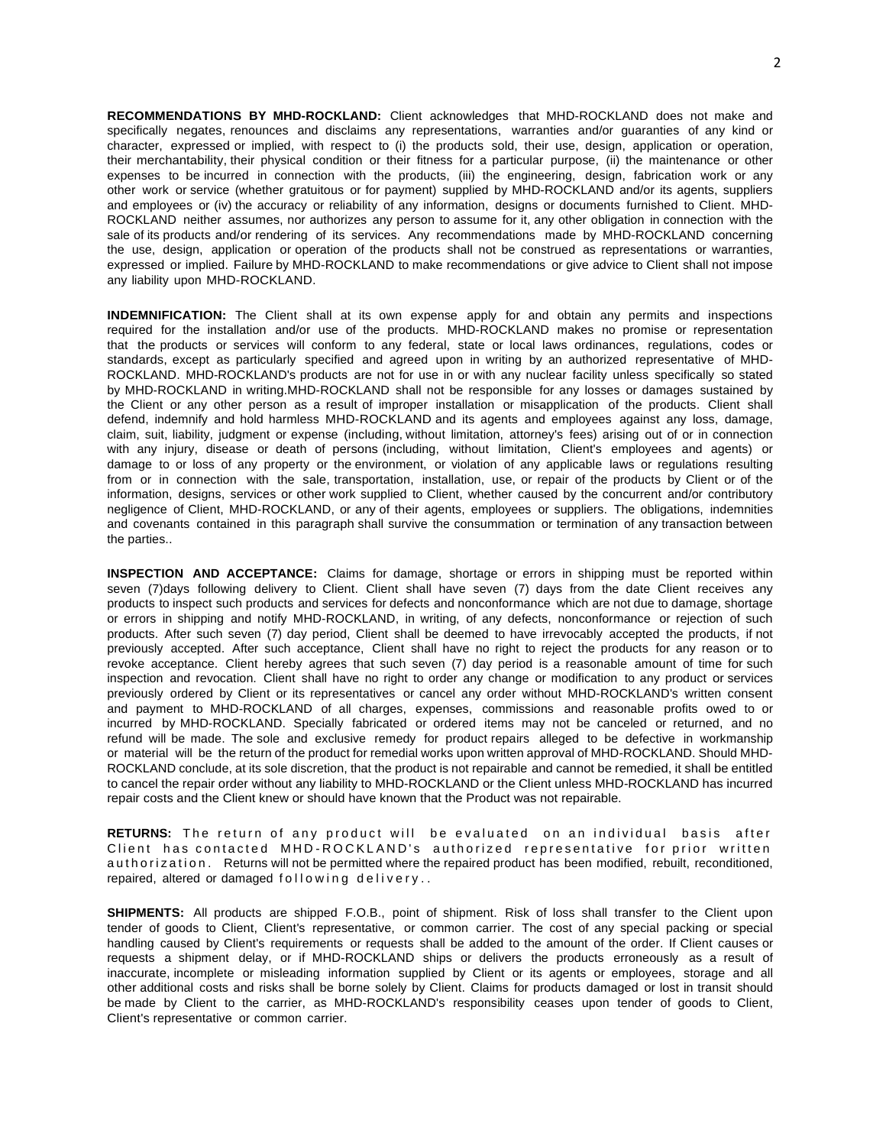**RECOMMENDATIONS BY MHD-ROCKLAND:** Client acknowledges that MHD-ROCKLAND does not make and specifically negates, renounces and disclaims any representations, warranties and/or guaranties of any kind or character, expressed or implied, with respect to (i) the products sold, their use, design, application or operation, their merchantability, their physical condition or their fitness for a particular purpose, (ii) the maintenance or other expenses to be incurred in connection with the products, (iii) the engineering, design, fabrication work or any other work or service (whether gratuitous or for payment) supplied by MHD-ROCKLAND and/or its agents, suppliers and employees or (iv) the accuracy or reliability of any information, designs or documents furnished to Client. MHD-ROCKLAND neither assumes, nor authorizes any person to assume for it, any other obligation in connection with the sale of its products and/or rendering of its services. Any recommendations made by MHD-ROCKLAND concerning the use, design, application or operation of the products shall not be construed as representations or warranties, expressed or implied. Failure by MHD-ROCKLAND to make recommendations or give advice to Client shall not impose any liability upon MHD-ROCKLAND.

**INDEMNIFICATION:** The Client shall at its own expense apply for and obtain any permits and inspections required for the installation and/or use of the products. MHD-ROCKLAND makes no promise or representation that the products or services will conform to any federal, state or local laws ordinances, regulations, codes or standards, except as particularly specified and agreed upon in writing by an authorized representative of MHD-ROCKLAND. MHD-ROCKLAND's products are not for use in or with any nuclear facility unless specifically so stated by MHD-ROCKLAND in writing.MHD-ROCKLAND shall not be responsible for any losses or damages sustained by the Client or any other person as a result of improper installation or misapplication of the products. Client shall defend, indemnify and hold harmless MHD-ROCKLAND and its agents and employees against any loss, damage, claim, suit, liability, judgment or expense (including, without limitation, attorney's fees) arising out of or in connection with any injury, disease or death of persons (including, without limitation, Client's employees and agents) or damage to or loss of any property or the environment, or violation of any applicable laws or regulations resulting from or in connection with the sale, transportation, installation, use, or repair of the products by Client or of the information, designs, services or other work supplied to Client, whether caused by the concurrent and/or contributory negligence of Client, MHD-ROCKLAND, or any of their agents, employees or suppliers. The obligations, indemnities and covenants contained in this paragraph shall survive the consummation or termination of any transaction between the parties..

**INSPECTION AND ACCEPTANCE:** Claims for damage, shortage or errors in shipping must be reported within seven (7)days following delivery to Client. Client shall have seven (7) days from the date Client receives any products to inspect such products and services for defects and nonconformance which are not due to damage, shortage or errors in shipping and notify MHD-ROCKLAND, in writing, of any defects, nonconformance or rejection of such products. After such seven (7) day period, Client shall be deemed to have irrevocably accepted the products, if not previously accepted. After such acceptance, Client shall have no right to reject the products for any reason or to revoke acceptance. Client hereby agrees that such seven (7) day period is a reasonable amount of time for such inspection and revocation. Client shall have no right to order any change or modification to any product or services previously ordered by Client or its representatives or cancel any order without MHD-ROCKLAND's written consent and payment to MHD-ROCKLAND of all charges, expenses, commissions and reasonable profits owed to or incurred by MHD-ROCKLAND. Specially fabricated or ordered items may not be canceled or returned, and no refund will be made. The sole and exclusive remedy for product repairs alleged to be defective in workmanship or material will be the return of the product for remedial works upon written approval of MHD-ROCKLAND. Should MHD-ROCKLAND conclude, at its sole discretion, that the product is not repairable and cannot be remedied, it shall be entitled to cancel the repair order without any liability to MHD-ROCKLAND or the Client unless MHD-ROCKLAND has incurred repair costs and the Client knew or should have known that the Product was not repairable.

**RETURNS:** The return of any product will be evaluated on an individual basis after Client has contacted MHD-ROCKLAND's authorized representative for prior written au thorization. Returns will not be permitted where the repaired product has been modified, rebuilt, reconditioned, repaired, altered or damaged following delivery..

**SHIPMENTS:** All products are shipped F.O.B., point of shipment. Risk of loss shall transfer to the Client upon tender of goods to Client, Client's representative, or common carrier. The cost of any special packing or special handling caused by Client's requirements or requests shall be added to the amount of the order. If Client causes or requests a shipment delay, or if MHD-ROCKLAND ships or delivers the products erroneously as a result of inaccurate, incomplete or misleading information supplied by Client or its agents or employees, storage and all other additional costs and risks shall be borne solely by Client. Claims for products damaged or lost in transit should be made by Client to the carrier, as MHD-ROCKLAND's responsibility ceases upon tender of goods to Client, Client's representative or common carrier.